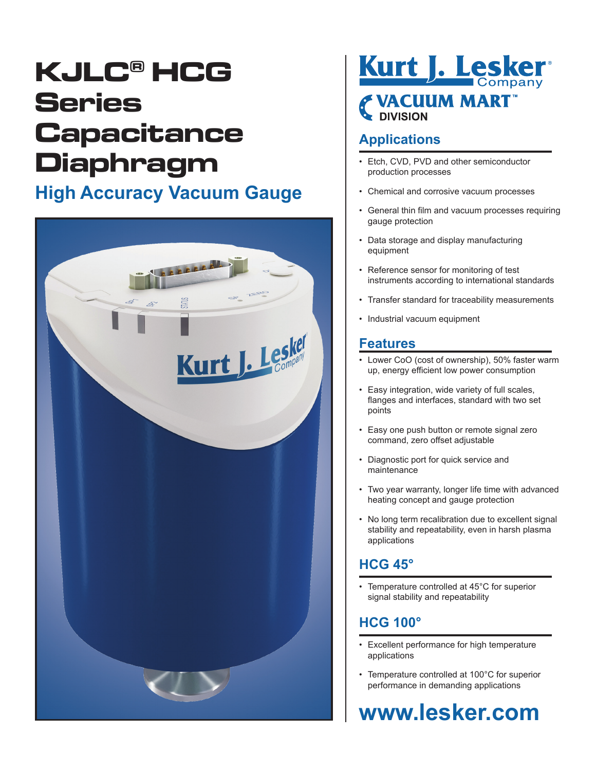## **KJLC® HCG Series Capacitance Diaphragm**

### **High Accuracy Vacuum Gauge**



# Kurt J. Lesker® **EVACUUM MART**

#### **Applications**

- Etch, CVD, PVD and other semiconductor production processes
- Chemical and corrosive vacuum processes
- General thin film and vacuum processes requiring gauge protection
- Data storage and display manufacturing equipment
- Reference sensor for monitoring of test instruments according to international standards
- Transfer standard for traceability measurements
- Industrial vacuum equipment

#### **Features**

- Lower CoO (cost of ownership), 50% faster warm up, energy efficient low power consumption
- Easy integration, wide variety of full scales, flanges and interfaces, standard with two set points
- Easy one push button or remote signal zero command, zero offset adjustable
- Diagnostic port for quick service and maintenance
- Two year warranty, longer life time with advanced heating concept and gauge protection
- No long term recalibration due to excellent signal stability and repeatability, even in harsh plasma applications

#### **HCG 45°**

• Temperature controlled at 45°C for superior signal stability and repeatability

#### **HCG 100°**

- Excellent performance for high temperature applications
- Temperature controlled at 100°C for superior performance in demanding applications